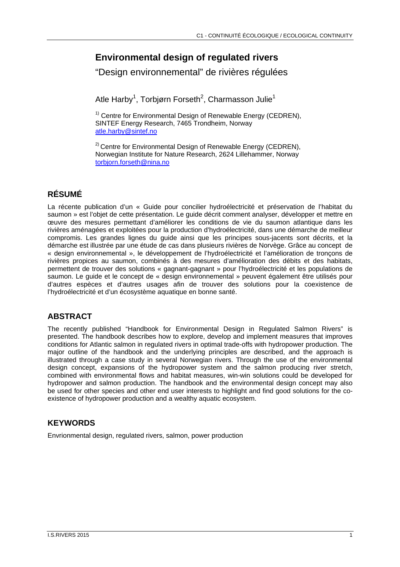# **Environmental design of regulated rivers**

"Design environnemental" de rivières régulées

Atle Harby<sup>1</sup>, Torbjørn Forseth<sup>2</sup>, Charmasson Julie<sup>1</sup>

 $1)$  Centre for Environmental Design of Renewable Energy (CEDREN), SINTEF Energy Research, 7465 Trondheim, Norway atle.harby@sintef.no

 $2)$  Centre for Environmental Design of Renewable Energy (CEDREN), Norwegian Institute for Nature Research, 2624 Lillehammer, Norway torbjorn.forseth@nina.no

## **RÉSUMÉ**

La récente publication d'un « Guide pour concilier hydroélectricité et préservation de l'habitat du saumon » est l'objet de cette présentation. Le guide décrit comment analyser, développer et mettre en œuvre des mesures permettant d'améliorer les conditions de vie du saumon atlantique dans les rivières aménagées et exploitées pour la production d'hydroélectricité, dans une démarche de meilleur compromis. Les grandes lignes du guide ainsi que les principes sous-jacents sont décrits, et la démarche est illustrée par une étude de cas dans plusieurs rivières de Norvège. Grâce au concept de « design environnemental », le développement de l'hydroélectricité et l'amélioration de tronçons de rivières propices au saumon, combinés à des mesures d'amélioration des débits et des habitats, permettent de trouver des solutions « gagnant-gagnant » pour l'hydroélectricité et les populations de saumon. Le guide et le concept de « design environnemental » peuvent également être utilisés pour d'autres espèces et d'autres usages afin de trouver des solutions pour la coexistence de l'hydroélectricité et d'un écosystème aquatique en bonne santé.

## **ABSTRACT**

The recently published "Handbook for Environmental Design in Regulated Salmon Rivers" is presented. The handbook describes how to explore, develop and implement measures that improves conditions for Atlantic salmon in regulated rivers in optimal trade-offs with hydropower production. The major outline of the handbook and the underlying principles are described, and the approach is illustrated through a case study in several Norwegian rivers. Through the use of the environmental design concept, expansions of the hydropower system and the salmon producing river stretch, combined with environmental flows and habitat measures, win-win solutions could be developed for hydropower and salmon production. The handbook and the environmental design concept may also be used for other species and other end user interests to highlight and find good solutions for the coexistence of hydropower production and a wealthy aquatic ecosystem.

## **KEYWORDS**

Envrionmental design, regulated rivers, salmon, power production